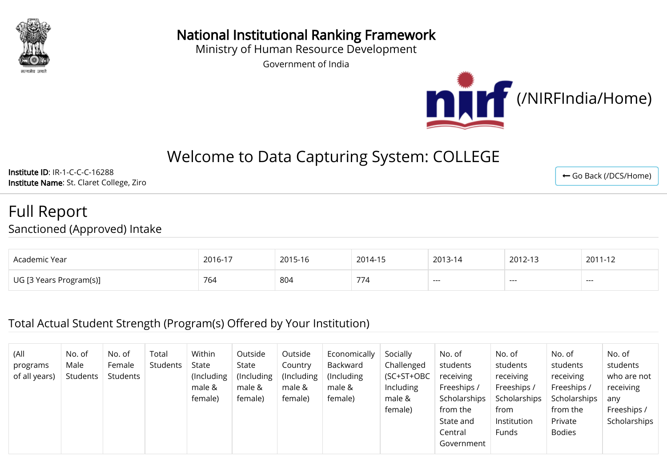

National Institutional Ranking Framework

Ministry of Human Resource Development

Government of India



# Welcome to Data Capturing System: COLLEGE

Institute ID: IR-1-C-C-C-16288 Institute Name: St. Claret College, Ziro

Full Report

Sanctioned (Approved) Intake

| Academic Year           | 2016-17 | 2015-16 | 2014-15       | 2013-14 | 2012-13 | 2011-12 |
|-------------------------|---------|---------|---------------|---------|---------|---------|
| UG [3 Years Program(s)] | 764     | 804     | $\rightarrow$ | ---     | ---     | ---     |

#### Total Actual Student Strength (Program(s) Offered by Your Institution)

| (All<br>programs<br>of all years) | No. of<br>Male<br>Students | No. of<br>Female<br>Students | Total<br>Students | Within<br>State<br>(Including)<br>male &<br>female) | Outside<br>State<br>(Including)<br>male &<br>female) | Outside<br>Country<br>(Including)<br>male &<br>female) | Economically<br>Backward<br>(Including)<br>male &<br>female) | Socially<br>Challenged<br>(SC+ST+OBC<br>Including<br>male &<br>female) | No. of<br>students<br>receiving<br>Freeships /<br>Scholarships<br>from the<br>State and<br>Central<br>Government | No. of<br>students<br>receiving<br>Freeships /<br>Scholarships<br>from<br>Institution<br>Funds | No. of<br>students<br>receiving<br>Freeships /<br>Scholarships<br>from the<br>Private<br><b>Bodies</b> | No. of<br>students<br>who are not<br>receiving<br>any<br>Freeships /<br>Scholarships |
|-----------------------------------|----------------------------|------------------------------|-------------------|-----------------------------------------------------|------------------------------------------------------|--------------------------------------------------------|--------------------------------------------------------------|------------------------------------------------------------------------|------------------------------------------------------------------------------------------------------------------|------------------------------------------------------------------------------------------------|--------------------------------------------------------------------------------------------------------|--------------------------------------------------------------------------------------|
|-----------------------------------|----------------------------|------------------------------|-------------------|-----------------------------------------------------|------------------------------------------------------|--------------------------------------------------------|--------------------------------------------------------------|------------------------------------------------------------------------|------------------------------------------------------------------------------------------------------------------|------------------------------------------------------------------------------------------------|--------------------------------------------------------------------------------------------------------|--------------------------------------------------------------------------------------|

← [Go Back \(/DCS/Home\)](http://nirfweb.cloudapp.net/DCS/Home)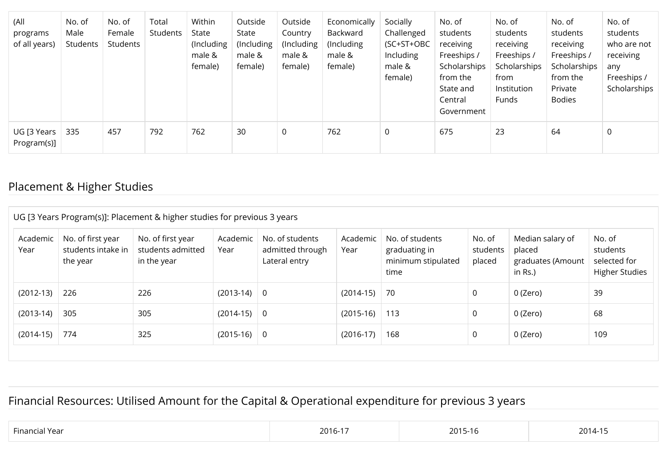| (All<br>programs<br>of all years) | No. of<br>Male<br>Students | No. of<br>Female<br>Students | Total<br>Students | Within<br>State<br>(Including<br>male &<br>female) | Outside<br>State<br>(Including<br>male &<br>female) | Outside<br>Country<br>(Including<br>male &<br>female) | Economically<br>Backward<br>(Including<br>male &<br>female) | Socially<br>Challenged<br>(SC+ST+OBC<br>Including<br>male &<br>female) | No. of<br>students<br>receiving<br>Freeships /<br>Scholarships<br>from the<br>State and<br>Central<br>Government | No. of<br>students<br>receiving<br>Freeships /<br>Scholarships<br>from<br>Institution<br>Funds | No. of<br>students<br>receiving<br>Freeships /<br>Scholarships<br>from the<br>Private<br><b>Bodies</b> | No. of<br>students<br>who are not<br>receiving<br>any<br>Freeships /<br>Scholarships |
|-----------------------------------|----------------------------|------------------------------|-------------------|----------------------------------------------------|-----------------------------------------------------|-------------------------------------------------------|-------------------------------------------------------------|------------------------------------------------------------------------|------------------------------------------------------------------------------------------------------------------|------------------------------------------------------------------------------------------------|--------------------------------------------------------------------------------------------------------|--------------------------------------------------------------------------------------|
| UG [3 Years<br>Program(s)]        | 335                        | 457                          | 792               | 762                                                | 30                                                  | 0                                                     | 762                                                         | $\mathbf 0$                                                            | 675                                                                                                              | 23                                                                                             | 64                                                                                                     | $\mathbf 0$                                                                          |

## Placement & Higher Studies

| Academic<br>Year | No. of first year<br>No. of first year<br>students intake in<br>students admitted<br>in the year<br>the year |     | No. of students<br>Academic<br>Year<br>admitted through<br>Lateral entry |  | No. of students<br>Academic<br>Year<br>graduating in<br>minimum stipulated<br>time |     | No. of<br>students<br>placed | Median salary of<br>placed<br>graduates (Amount<br>in Rs.) | No. of<br>students<br>selected for<br><b>Higher Studies</b> |  |  |  |  |
|------------------|--------------------------------------------------------------------------------------------------------------|-----|--------------------------------------------------------------------------|--|------------------------------------------------------------------------------------|-----|------------------------------|------------------------------------------------------------|-------------------------------------------------------------|--|--|--|--|
| $(2012-13)$      | 226                                                                                                          | 226 | $(2013-14)$ 0                                                            |  | $(2014-15)$                                                                        | 70  | 0                            | 0 (Zero)                                                   | 39                                                          |  |  |  |  |
| $(2013-14)$      | 305                                                                                                          | 305 | $(2014-15)$ 0                                                            |  | $(2015-16)$                                                                        | 113 | 0                            | 0 (Zero)                                                   | 68                                                          |  |  |  |  |
| $(2014-15)$      | 774                                                                                                          | 325 | $(2015-16)$ 0                                                            |  | $(2016-17)$                                                                        | 168 | 0                            | 0 (Zero)                                                   | 109                                                         |  |  |  |  |

## Financial Resources: Utilised Amount for the Capital & Operational expenditure for previous 3 years

| $- \cdot$<br>Finan<br>-- | $\neg$ $\neg$ $\neg$<br>n-<br>ΖU<br>$\cdot$ | $\sim$ $\sim$<br>7 U L<br>. | 20 <sup>1</sup><br>$\mathbf{1}$<br>, , , |
|--------------------------|---------------------------------------------|-----------------------------|------------------------------------------|
|--------------------------|---------------------------------------------|-----------------------------|------------------------------------------|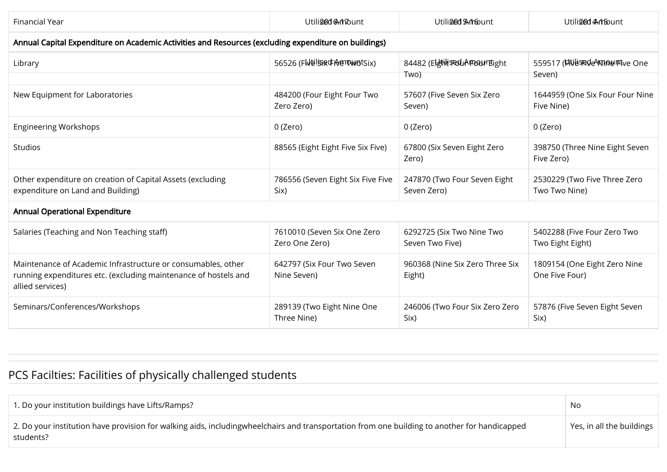| Financial Year                                                                                                                                      | Utiliged Amount                               | Utiliged Anfount                             | Utiliged Ambount                                |  |
|-----------------------------------------------------------------------------------------------------------------------------------------------------|-----------------------------------------------|----------------------------------------------|-------------------------------------------------|--|
| Annual Capital Expenditure on Academic Activities and Resources (excluding expenditure on buildings)                                                |                                               |                                              |                                                 |  |
| Library                                                                                                                                             | 56526 (FWEISSRGHOENWOLSIX)                    | 84482 (ElethlisteduAFTOOUTEight<br>Two)      | 559517 (Livesde Annountye One<br>Seven)         |  |
|                                                                                                                                                     |                                               |                                              |                                                 |  |
| New Equipment for Laboratories                                                                                                                      | 484200 (Four Eight Four Two<br>Zero Zero)     | 57607 (Five Seven Six Zero<br>Seven)         | 1644959 (One Six Four Four Nine<br>Five Nine)   |  |
| <b>Engineering Workshops</b>                                                                                                                        | 0 (Zero)                                      | 0 (Zero)                                     | 0 (Zero)                                        |  |
| Studios                                                                                                                                             | 88565 (Eight Eight Five Six Five)             | 67800 (Six Seven Eight Zero<br>Zero)         | 398750 (Three Nine Eight Seven<br>Five Zero)    |  |
| Other expenditure on creation of Capital Assets (excluding<br>expenditure on Land and Building)                                                     | 786556 (Seven Eight Six Five Five<br>Six)     | 247870 (Two Four Seven Eight<br>Seven Zero)  | 2530229 (Two Five Three Zero<br>Two Two Nine)   |  |
| <b>Annual Operational Expenditure</b>                                                                                                               |                                               |                                              |                                                 |  |
| Salaries (Teaching and Non Teaching staff)                                                                                                          | 7610010 (Seven Six One Zero<br>Zero One Zero) | 6292725 (Six Two Nine Two<br>Seven Two Five) | 5402288 (Five Four Zero Two<br>Two Eight Eight) |  |
| Maintenance of Academic Infrastructure or consumables, other<br>running expenditures etc. (excluding maintenance of hostels and<br>allied services) | 642797 (Six Four Two Seven<br>Nine Seven)     | 960368 (Nine Six Zero Three Six<br>Eight)    | 1809154 (One Eight Zero Nine<br>One Five Four)  |  |
| Seminars/Conferences/Workshops                                                                                                                      | 289139 (Two Eight Nine One<br>Three Nine)     | 246006 (Two Four Six Zero Zero<br>Six)       | 57876 (Five Seven Eight Seven<br>Six)           |  |

# PCS Facilties: Facilities of physically challenged students

| 1. Do your institution buildings have Lifts/Ramps?                                                                                                               | No                        |
|------------------------------------------------------------------------------------------------------------------------------------------------------------------|---------------------------|
| $\mid$ 2. Do your institution have provision for walking aids, includingwheelchairs and transportation from one building to another for handicapped<br>students? | Yes, in all the buildings |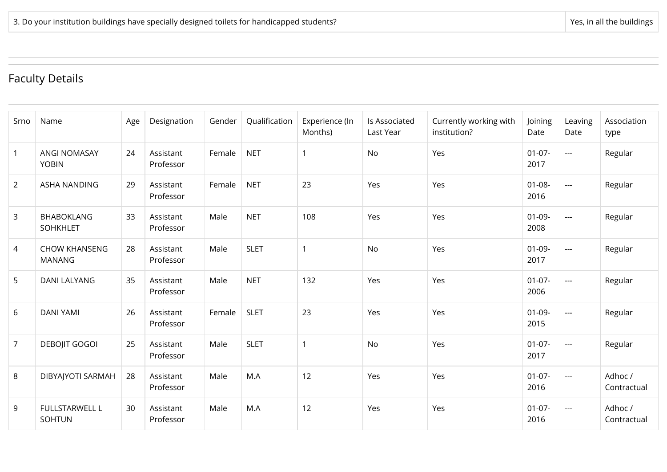## Faculty Details

| Srno           | Name                                   | Age | Designation            | Gender | Qualification | Experience (In<br>Months) | Is Associated<br>Last Year | Currently working with<br>institution? | Joining<br>Date     | Leaving<br>Date     | Association<br>type    |
|----------------|----------------------------------------|-----|------------------------|--------|---------------|---------------------------|----------------------------|----------------------------------------|---------------------|---------------------|------------------------|
| $\overline{1}$ | <b>ANGI NOMASAY</b><br><b>YOBIN</b>    | 24  | Assistant<br>Professor | Female | <b>NET</b>    |                           | No                         | Yes                                    | $01 - 07 -$<br>2017 | $---$               | Regular                |
| $\overline{2}$ | <b>ASHA NANDING</b>                    | 29  | Assistant<br>Professor | Female | <b>NET</b>    | 23                        | Yes                        | Yes                                    | $01 - 08 -$<br>2016 | $\sim$ $\sim$       | Regular                |
| $\mathbf{3}$   | <b>BHABOKLANG</b><br><b>SOHKHLET</b>   | 33  | Assistant<br>Professor | Male   | <b>NET</b>    | 108                       | Yes                        | Yes                                    | $01 - 09 -$<br>2008 | $---$               | Regular                |
| $\overline{4}$ | <b>CHOW KHANSENG</b><br><b>MANANG</b>  | 28  | Assistant<br>Professor | Male   | <b>SLET</b>   | $\mathbf 1$               | No                         | Yes                                    | $01-09-$<br>2017    | $---$               | Regular                |
| 5              | <b>DANI LALYANG</b>                    | 35  | Assistant<br>Professor | Male   | <b>NET</b>    | 132                       | Yes                        | Yes                                    | $01 - 07 -$<br>2006 | $\overline{a}$      | Regular                |
| 6              | <b>DANI YAMI</b>                       | 26  | Assistant<br>Professor | Female | <b>SLET</b>   | 23                        | Yes                        | Yes                                    | $01 - 09 -$<br>2015 | $\sim$ $\sim$       | Regular                |
| $\overline{7}$ | <b>DEBOJIT GOGOI</b>                   | 25  | Assistant<br>Professor | Male   | <b>SLET</b>   | $\mathbf{1}$              | No                         | Yes                                    | $01-07-$<br>2017    | $\sim$ $\sim$       | Regular                |
| 8              | DIBYAJYOTI SARMAH                      | 28  | Assistant<br>Professor | Male   | M.A           | 12                        | Yes                        | Yes                                    | $01-07-$<br>2016    | $\qquad \qquad - -$ | Adhoc /<br>Contractual |
| 9              | <b>FULLSTARWELL L</b><br><b>SOHTUN</b> | 30  | Assistant<br>Professor | Male   | M.A           | 12                        | Yes                        | Yes                                    | $01-07-$<br>2016    | $\qquad \qquad - -$ | Adhoc /<br>Contractual |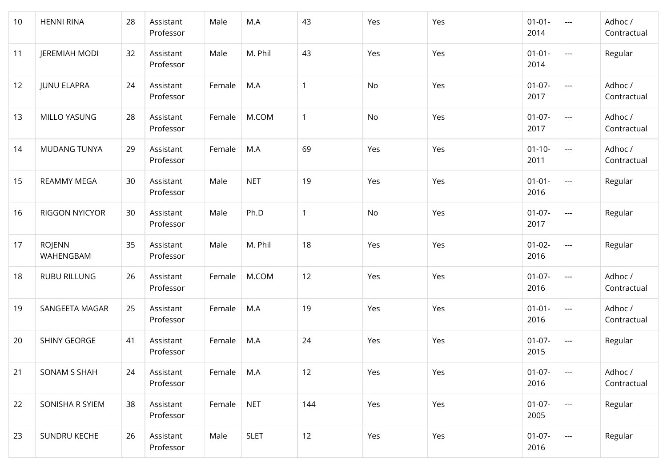| 10 | <b>HENNI RINA</b>          | 28 | Assistant<br>Professor | Male   | M.A         | 43           | Yes | Yes | $01 - 01 -$<br>2014 | $---$                                    | Adhoc /<br>Contractual |
|----|----------------------------|----|------------------------|--------|-------------|--------------|-----|-----|---------------------|------------------------------------------|------------------------|
| 11 | <b>JEREMIAH MODI</b>       | 32 | Assistant<br>Professor | Male   | M. Phil     | 43           | Yes | Yes | $01 - 01 -$<br>2014 | $\qquad \qquad - -$                      | Regular                |
| 12 | <b>JUNU ELAPRA</b>         | 24 | Assistant<br>Professor | Female | M.A         | 1            | No  | Yes | $01-07-$<br>2017    | $\scriptstyle\cdots$                     | Adhoc /<br>Contractual |
| 13 | MILLO YASUNG               | 28 | Assistant<br>Professor | Female | M.COM       | $\mathbf{1}$ | No  | Yes | $01-07-$<br>2017    | $\overline{a}$                           | Adhoc /<br>Contractual |
| 14 | <b>MUDANG TUNYA</b>        | 29 | Assistant<br>Professor | Female | M.A         | 69           | Yes | Yes | $01 - 10 -$<br>2011 | $\sim$ $\sim$                            | Adhoc /<br>Contractual |
| 15 | REAMMY MEGA                | 30 | Assistant<br>Professor | Male   | <b>NET</b>  | 19           | Yes | Yes | $01 - 01 -$<br>2016 | $\hspace{0.05cm} \ldots \hspace{0.05cm}$ | Regular                |
| 16 | RIGGON NYICYOR             | 30 | Assistant<br>Professor | Male   | Ph.D        | 1            | No  | Yes | $01-07-$<br>2017    | $\scriptstyle\cdots$                     | Regular                |
| 17 | <b>ROJENN</b><br>WAHENGBAM | 35 | Assistant<br>Professor | Male   | M. Phil     | 18           | Yes | Yes | $01 - 02 -$<br>2016 | $\overline{\phantom{a}}$                 | Regular                |
| 18 | <b>RUBU RILLUNG</b>        | 26 | Assistant<br>Professor | Female | M.COM       | 12           | Yes | Yes | $01-07-$<br>2016    | $\sim$ $\sim$                            | Adhoc /<br>Contractual |
| 19 | SANGEETA MAGAR             | 25 | Assistant<br>Professor | Female | M.A         | 19           | Yes | Yes | $01 - 01 -$<br>2016 | $\hspace{0.05cm} \ldots$                 | Adhoc /<br>Contractual |
| 20 | SHINY GEORGE               | 41 | Assistant<br>Professor | Female | M.A         | 24           | Yes | Yes | $01-07-$<br>2015    | $\hspace{0.05cm} \dashrightarrow$        | Regular                |
| 21 | SONAM S SHAH               | 24 | Assistant<br>Professor | Female | M.A         | 12           | Yes | Yes | $01-07-$<br>2016    | $\mathbb{H} \to \mathbb{H}$              | Adhoc /<br>Contractual |
| 22 | SONISHA R SYIEM            | 38 | Assistant<br>Professor | Female | <b>NET</b>  | 144          | Yes | Yes | $01-07-$<br>2005    | $\scriptstyle \cdots$                    | Regular                |
| 23 | SUNDRU KECHE               | 26 | Assistant<br>Professor | Male   | <b>SLET</b> | 12           | Yes | Yes | $01-07-$<br>2016    | $\hspace{0.05cm} \ldots$                 | Regular                |